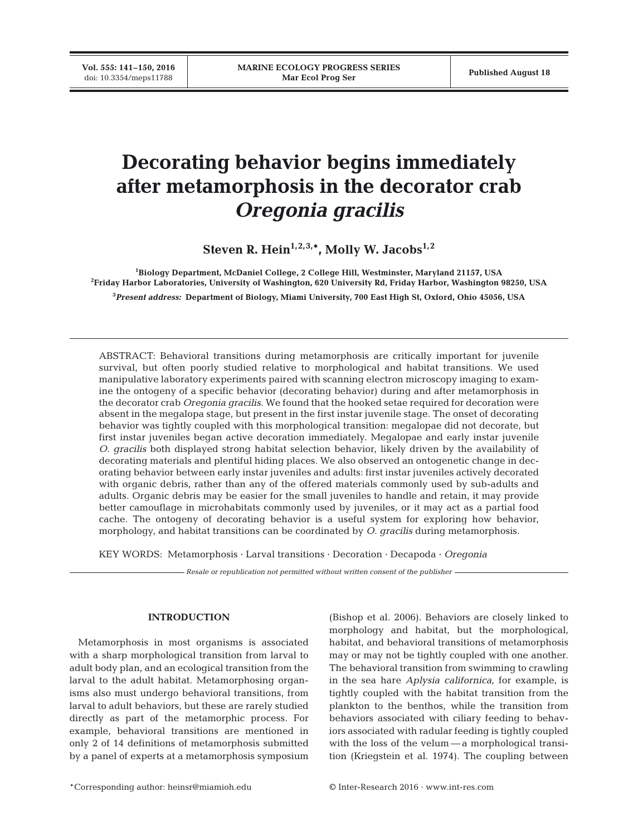# **Decorating behavior begins immediately after metamorphosis in the decorator crab** *Oregonia gracilis*

Steven R. Hein<sup>1,2,3,\*</sup>, Molly W. Jacobs<sup>1,2</sup>

**1 Biology Department, McDaniel College, 2 College Hill, Westminster, Maryland 21157, USA 2 Friday Harbor Laboratories, University of Washington, 620 University Rd, Friday Harbor, Washington 98250, USA 3** *Present address:* **Department of Biology, Miami University, 700 East High St, Oxford, Ohio 45056, USA**

ABSTRACT: Behavioral transitions during metamorphosis are critically important for juvenile survival, but often poorly studied relative to morphological and habitat transitions. We used manipulative laboratory experiments paired with scanning electron microscopy imaging to examine the ontogeny of a specific behavior (decorating behavior) during and after metamorphosis in the decorator crab *Oregonia gracilis*. We found that the hooked setae required for decoration were absent in the megalopa stage, but present in the first instar juvenile stage. The onset of decorating behavior was tightly coupled with this morphological transition: megalopae did not decorate, but first instar juveniles began active decoration immediately. Megalopae and early instar juvenile *O. gracilis* both displayed strong habitat selection behavior, likely driven by the availability of decorating materials and plentiful hiding places. We also observed an ontogenetic change in decorating behavior between early instar juveniles and adults: first instar juveniles actively decorated with organic debris, rather than any of the offered materials commonly used by sub-adults and adults. Organic debris may be easier for the small juveniles to handle and retain, it may provide better camouflage in microhabitats commonly used by juveniles, or it may act as a partial food cache. The ontogeny of decorating behavior is a useful system for exploring how behavior, morphology, and habitat transitions can be coordinated by *O. gracilis* during metamorphosis.

KEY WORDS: Metamorphosis · Larval transitions · Decoration · Decapoda · *Oregonia*

*Resale or republication not permitted without written consent of the publisher*

## **INTRODUCTION**

Metamorphosis in most organisms is associated with a sharp morphological transition from larval to adult body plan, and an ecological transition from the larval to the adult habitat. Metamorphosing organisms also must undergo behavioral transitions, from larval to adult behaviors, but these are rarely studied directly as part of the metamorphic process. For example, behavioral transitions are mentioned in only 2 of 14 definitions of metamorphosis submitted by a panel of experts at a metamorphosis symposium

(Bishop et al. 2006). Behaviors are closely linked to morphology and habitat, but the morphological, habitat, and behavioral transitions of metamorphosis may or may not be tightly coupled with one another. The behavioral transition from swimming to crawling in the sea hare *Aplysia californica*, for example, is tightly coupled with the habitat transition from the plankton to the benthos, while the transition from behaviors associated with ciliary feeding to behaviors associated with radular feeding is tightly coupled with the loss of the velum — a morphological transition (Kriegstein et al. 1974). The coupling between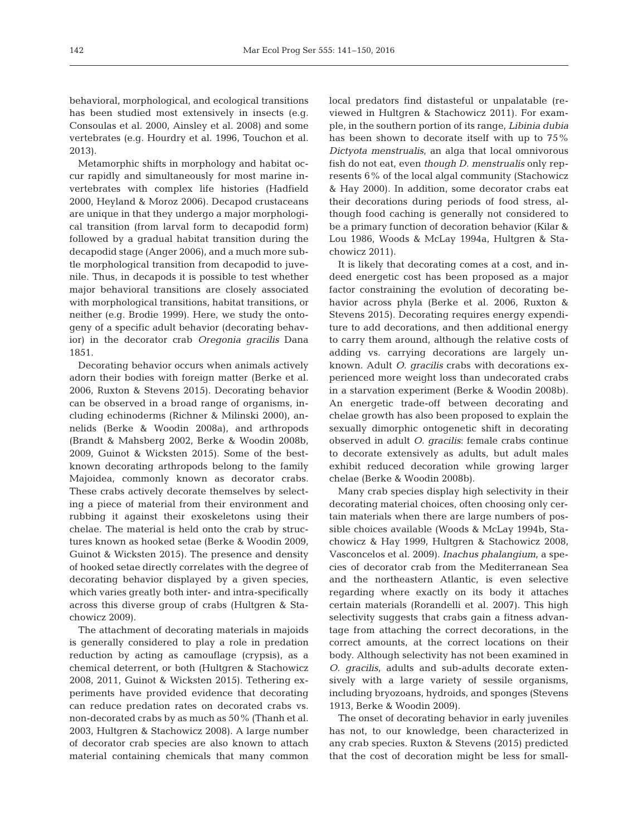be havioral, morphological, and ecological transitions has been studied most extensively in insects (e.g. Consoulas et al. 2000, Ainsley et al. 2008) and some vertebrates (e.g. Hourdry et al. 1996, Touchon et al. 2013).

Metamorphic shifts in morphology and habitat oc cur rapidly and simultaneously for most marine invertebrates with complex life histories (Hadfield 2000, Heyland & Moroz 2006). Decapod crustaceans are unique in that they undergo a major morphological transition (from larval form to decapodid form) followed by a gradual habitat transition during the decapodid stage (Anger 2006), and a much more subtle morphological transition from decapodid to juvenile. Thus, in decapods it is possible to test whether major behavioral transitions are closely associated with morphological transitions, habitat transitions, or neither (e.g. Brodie 1999). Here, we study the ontogeny of a specific adult behavior (decorating behavior) in the decorator crab *Oregonia gracilis* Dana 1851.

Decorating behavior occurs when animals actively adorn their bodies with foreign matter (Berke et al. 2006, Ruxton & Stevens 2015). Decorating behavior can be observed in a broad range of organisms, in cluding echinoderms (Richner & Milinski 2000), an nelids (Berke & Woodin 2008a), and arthropods (Brandt & Mahsberg 2002, Berke & Woodin 2008b, 2009, Guinot & Wicksten 2015). Some of the bestknown decorating arthropods belong to the family Majoidea, commonly known as decorator crabs. These crabs actively decorate themselves by selecting a piece of material from their environment and rubbing it against their exoskeletons using their chelae. The material is held onto the crab by structures known as hooked setae (Berke & Woodin 2009, Guinot & Wicksten 2015). The presence and density of hooked setae directly correlates with the degree of decorating behavior displayed by a given species, which varies greatly both inter- and intra-specifically across this diverse group of crabs (Hultgren & Stachowicz 2009).

The attachment of decorating materials in majoids is generally considered to play a role in predation reduction by acting as camouflage (crypsis), as a chemical deterrent, or both (Hultgren & Stachowicz 2008, 2011, Guinot & Wicksten 2015). Tethering ex periments have provided evidence that decorating can reduce predation rates on decorated crabs vs. non-decorated crabs by as much as 50% (Thanh et al. 2003, Hultgren & Stachowicz 2008). A large number of decorator crab species are also known to attach material containing chemicals that many common

local predators find distasteful or unpalatable (reviewed in Hultgren & Stachowicz 2011). For example, in the southern portion of its range, *Libinia dubia* has been shown to decorate itself with up to 75% *Dictyota menstrualis*, an alga that local omnivorous fish do not eat, even *though D. menstrualis* only represents 6% of the local algal community (Stachowicz & Hay 2000). In addition, some decorator crabs eat their decorations during periods of food stress, although food caching is generally not considered to be a primary function of decoration behavior (Kilar & Lou 1986, Woods & McLay 1994a, Hultgren & Stachowicz 2011).

It is likely that decorating comes at a cost, and indeed energetic cost has been proposed as a major factor constraining the evolution of decorating be havior across phyla (Berke et al. 2006, Ruxton & Stevens 2015). Decorating requires energy expenditure to add decorations, and then additional energy to carry them around, although the relative costs of adding vs. carrying decorations are largely unknown. Adult *O. gracilis* crabs with decorations ex perienced more weight loss than undecorated crabs in a starvation experiment (Berke & Woodin 2008b). An energetic trade-off between decorating and chelae growth has also been proposed to explain the sexually dimorphic ontogenetic shift in decorating observed in adult *O. gracilis*: female crabs continue to decorate extensively as adults, but adult males exhibit reduced decoration while growing larger chelae (Berke & Woodin 2008b).

Many crab species display high selectivity in their decorating material choices, often choosing only certain materials when there are large numbers of possible choices available (Woods & McLay 1994b, Stachowicz & Hay 1999, Hultgren & Stachowicz 2008, Vasconcelos et al. 2009). *Inachus phalangium*, a species of decorator crab from the Mediterranean Sea and the northeastern Atlantic, is even selective regarding where exactly on its body it attaches certain materials (Rorandelli et al. 2007). This high selectivity suggests that crabs gain a fitness advantage from attaching the correct decorations, in the correct amounts, at the correct locations on their body. Although selectivity has not been examined in *O. gracilis*, adults and sub-adults decorate extensively with a large variety of sessile organisms, including bryozoans, hydroids, and sponges (Stevens 1913, Berke & Woodin 2009).

The onset of decorating behavior in early juveniles has not, to our knowledge, been characterized in any crab species. Ruxton & Stevens (2015) predicted that the cost of decoration might be less for small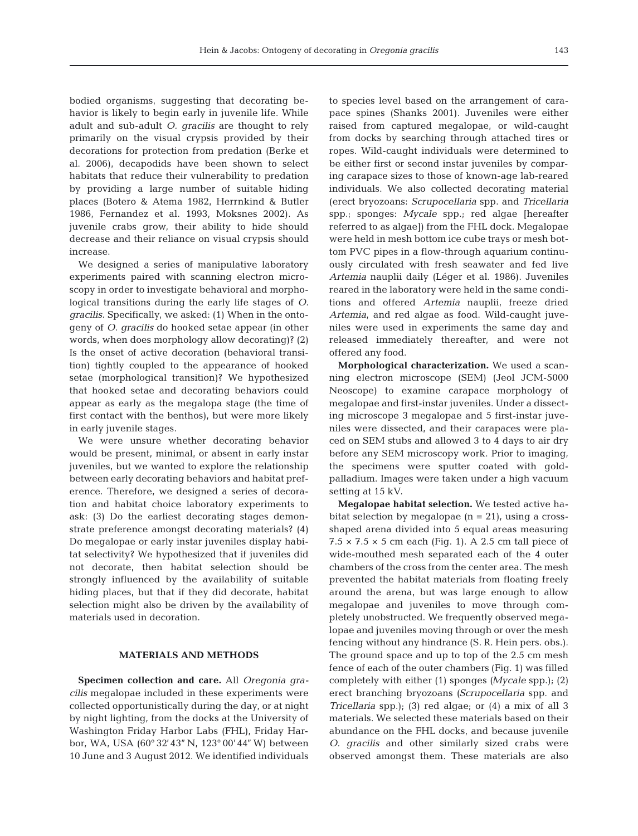bodied organisms, suggesting that decorating be havior is likely to begin early in juvenile life. While adult and sub-adult *O. gracilis* are thought to rely primarily on the visual crypsis provided by their decorations for protection from predation (Berke et al. 2006), decapodids have been shown to select habitats that reduce their vulnerability to predation by providing a large number of suitable hiding places (Botero & Atema 1982, Herrnkind & Butler 1986, Fernandez et al. 1993, Moksnes 2002). As juvenile crabs grow, their ability to hide should decrease and their reliance on visual crypsis should increase.

We designed a series of manipulative laboratory experiments paired with scanning electron microscopy in order to investigate behavioral and morphological transitions during the early life stages of *O. gracilis*. Specifically, we asked: (1) When in the ontogeny of *O. gracilis* do hooked setae appear (in other words, when does morphology allow decorating)? (2) Is the onset of active decoration (behavioral transition) tightly coupled to the appearance of hooked setae (morphological transition)? We hypothesized that hooked setae and decorating behaviors could appear as early as the megalopa stage (the time of first contact with the benthos), but were more likely in early juvenile stages.

We were unsure whether decorating behavior would be present, minimal, or absent in early instar juveniles, but we wanted to explore the relationship between early decorating behaviors and habitat preference. Therefore, we designed a series of decoration and habitat choice laboratory experiments to ask: (3) Do the earliest decorating stages demonstrate preference amongst decorating materials? (4) Do megalopae or early instar juveniles display habitat selectivity? We hypothesized that if juveniles did not decorate, then habitat selection should be strongly influenced by the availability of suitable hiding places, but that if they did decorate, habitat selection might also be driven by the availability of materials used in decoration.

### **MATERIALS AND METHODS**

**Specimen collection and care.** All *Oregonia gracilis* megalopae included in these experiments were collected opportunistically during the day, or at night by night lighting, from the docks at the University of Washington Friday Harbor Labs (FHL), Friday Harbor, WA, USA (60° 32'43"N, 123° 00'44"W) between 10 June and 3 August 2012. We identified individuals to species level based on the arrangement of carapace spines (Shanks 2001). Juveniles were either raised from captured megalopae, or wild-caught from docks by searching through attached tires or ropes. Wild-caught individuals were determined to be either first or second instar juveniles by comparing carapace sizes to those of known-age lab-reared individuals. We also collected decorating material (erect bryo zoans: *Scrupocellaria* spp. and *Tricellaria* spp.; sponges: *Mycale* spp.; red algae [hereafter referred to as algae]) from the FHL dock. Megalopae were held in mesh bottom ice cube trays or mesh bottom PVC pipes in a flow-through aquarium continuously circulated with fresh seawater and fed live *Arte mia* nauplii daily (Léger et al. 1986). Juveniles reared in the laboratory were held in the same conditions and offered *Artemia* nauplii, freeze dried *Artemia*, and red algae as food. Wild-caught juveniles were used in experiments the same day and released im mediately thereafter, and were not offered any food.

**Morphological characterization.** We used a scanning electron microscope (SEM) (Jeol JCM-5000 Neoscope) to examine carapace morphology of megalopae and first-instar juveniles. Under a dissecting microscope 3 megalopae and 5 first-instar juveniles were dissected, and their carapaces were placed on SEM stubs and allowed 3 to 4 days to air dry before any SEM microscopy work. Prior to imaging, the specimens were sputter coated with goldpalladium. Images were taken under a high vacuum setting at 15 kV.

**Megalopae habitat selection.** We tested active habitat selection by megalopae  $(n = 21)$ , using a crossshaped arena divided into 5 equal areas measuring  $7.5 \times 7.5 \times 5$  cm each (Fig. 1). A 2.5 cm tall piece of wide-mouthed mesh separated each of the 4 outer chambers of the cross from the center area. The mesh prevented the habitat materials from floating freely around the arena, but was large enough to allow megalopae and juveniles to move through completely unobstructed. We frequently observed megalopae and juveniles moving through or over the mesh fencing without any hindrance (S. R. Hein pers. obs.). The ground space and up to top of the 2.5 cm mesh fence of each of the outer chambers (Fig. 1) was filled completely with either (1) sponges *(Mycale* spp.); (2) erect branching bryozoans *(Scrupocellaria* spp. and *Tri cellaria* spp.); (3) red algae; or (4) a mix of all 3 materials. We selected these materials based on their abundance on the FHL docks, and because juvenile *O. gracilis* and other similarly sized crabs were observed amongst them. These materials are also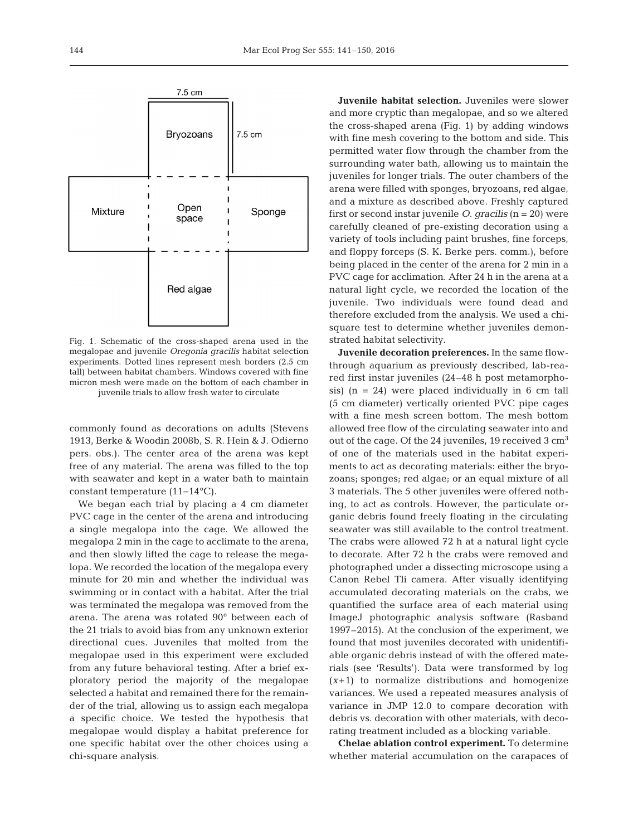

Fig. 1. Schematic of the cross-shaped arena used in the megalopae and juvenile *Oregonia gracilis* habitat selection experiments. Dotted lines represent mesh borders (2.5 cm tall) between habitat chambers. Windows covered with fine micron mesh were made on the bottom of each chamber in juvenile trials to allow fresh water to circulate

commonly found as decorations on adults (Stevens 1913, Berke & Woodin 2008b, S. R. Hein & J. Odierno pers. obs.). The center area of the arena was kept free of any material. The arena was filled to the top with seawater and kept in a water bath to maintain constant temperature (11− 14°C).

We began each trial by placing a 4 cm diameter PVC cage in the center of the arena and introducing a single megalopa into the cage. We allowed the megalopa 2 min in the cage to acclimate to the arena, and then slowly lifted the cage to release the megalopa. We recorded the location of the megalopa every minute for 20 min and whether the individual was swimming or in contact with a habitat. After the trial was terminated the megalopa was removed from the arena. The arena was rotated 90° between each of the 21 trials to avoid bias from any unknown exterior directional cues. Juveniles that molted from the megalopae used in this experiment were excluded from any future behavioral testing. After a brief exploratory period the majority of the megalopae selected a habitat and remained there for the remainder of the trial, allowing us to assign each megalopa a specific choice. We tested the hypothesis that megalopae would display a habitat preference for one specific habitat over the other choices using a chi-square analysis.

**Juvenile habitat selection.** Juveniles were slower and more cryptic than megalopae, and so we altered the cross-shaped arena (Fig. 1) by adding windows with fine mesh covering to the bottom and side. This permitted water flow through the chamber from the surrounding water bath, allowing us to maintain the juveniles for longer trials. The outer chambers of the arena were filled with sponges, bryozoans, red algae, and a mixture as described above. Freshly captured first or second instar juvenile *O. gracilis* (n = 20) were carefully cleaned of pre-existing decoration using a variety of tools including paint brushes, fine forceps, and floppy forceps (S. K. Berke pers. comm.), before being placed in the center of the arena for 2 min in a PVC cage for acclimation. After 24 h in the arena at a natural light cycle, we recorded the location of the juvenile. Two individuals were found dead and therefore excluded from the analysis. We used a chisquare test to determine whether juveniles demonstrated habitat selectivity.

**Juvenile decoration preferences.** In the same flowthrough aquarium as previously described, lab-rea red first instar juveniles (24−48 h post metamorphosis)  $(n = 24)$  were placed individually in 6 cm tall (5 cm diameter) vertically oriented PVC pipe cages with a fine mesh screen bottom. The mesh bottom allowed free flow of the circulating seawater into and out of the cage. Of the 24 juveniles, 19 received 3 cm<sup>3</sup> of one of the materials used in the habitat experiments to act as decorating materials: either the bryozoans; sponges; red algae; or an equal mixture of all 3 materials. The 5 other juveniles were offered nothing, to act as controls. However, the particulate or ganic debris found freely floating in the circulating seawater was still available to the control treatment. The crabs were allowed 72 h at a natural light cycle to decorate. After 72 h the crabs were removed and photographed under a dissecting microscope using a Canon Rebel Tli camera. After visually identifying accumulated decorating materials on the crabs, we quantified the surface area of each material using ImageJ photographic analysis software (Rasband 1997–2015). At the conclusion of the experiment, we found that most juveniles decorated with unidentifiable organic debris instead of with the offered materials (see 'Results'). Data were transformed by log (*x*+1) to normalize distributions and homogenize variances. We used a repeated measures analysis of variance in JMP 12.0 to compare decoration with debris vs. decoration with other materials, with decorating treatment included as a blocking variable.

**Chelae ablation control experiment.** To determine whether material accumulation on the carapaces of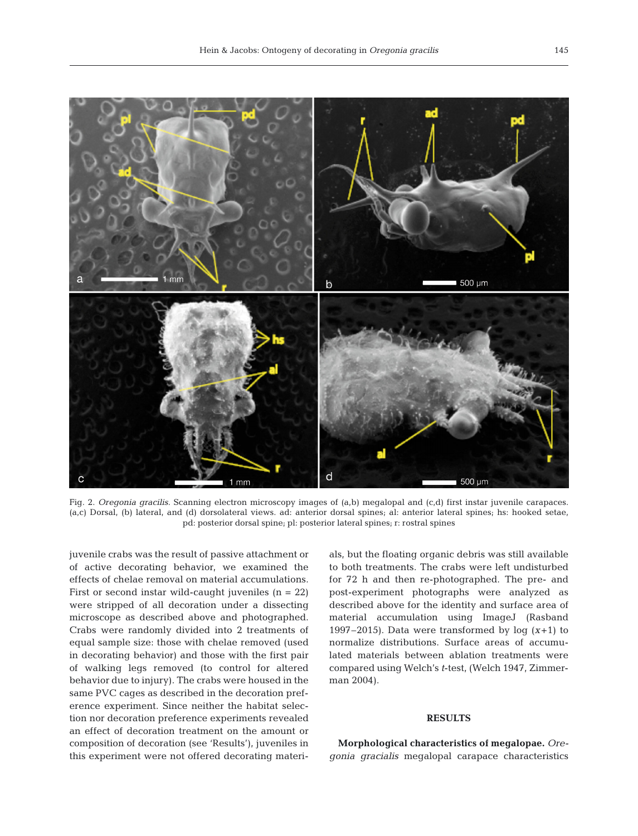

Fig. 2. *Oregonia gracilis.* Scanning electron microscopy images of (a,b) megalopal and (c,d) first instar juvenile carapaces. (a,c) Dorsal, (b) lateral, and (d) dorsolateral views. ad: anterior dorsal spines; al: anterior lateral spines; hs: hooked setae, pd: posterior dorsal spine; pl: posterior lateral spines; r: rostral spines

juvenile crabs was the result of passive attachment or of active decorating behavior, we examined the effects of chelae removal on material accumulations. First or second instar wild-caught juveniles  $(n = 22)$ were stripped of all decoration under a dissecting microscope as described above and photographed. Crabs were randomly divided into 2 treatments of equal sample size: those with chelae removed (used in decorating behavior) and those with the first pair of walking legs removed (to control for altered behavior due to injury). The crabs were housed in the same PVC cages as described in the decoration preference experiment. Since neither the habitat selection nor decoration preference experiments revealed an effect of decoration treatment on the amount or com position of decoration (see 'Results'), juveniles in this ex periment were not offered decorating materials, but the floating organic debris was still available to both treatments. The crabs were left undisturbed for 72 h and then re-photographed. The pre- and post-experiment photographs were analyzed as described above for the identity and surface area of material accumulation using ImageJ (Rasband 1997–2015). Data were transformed by  $log(x+1)$  to normalize distributions. Surface areas of accumulated materials between ablation treatments were compared using Welch's *t*-test, (Welch 1947, Zimmerman 2004).

#### **RESULTS**

**Morphological characteristics of megalopae.** *Oregonia gracialis* megalopal carapace characteristics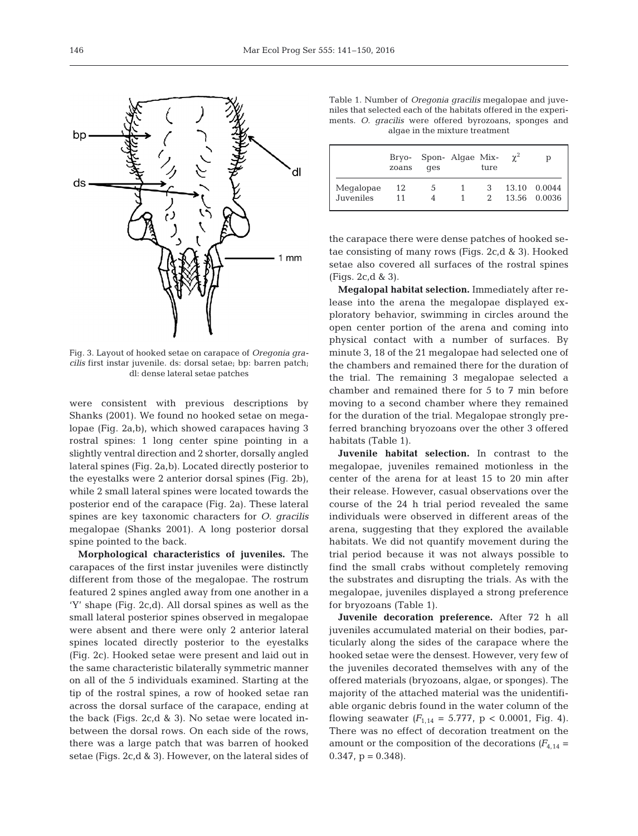

Fig. 3. Layout of hooked setae on carapace of *Oregonia gracilis* first instar juvenile. ds: dorsal setae; bp: barren patch; dl: dense lateral setae patches

were consistent with previous descriptions by Shanks (2001). We found no hooked setae on megalopae (Fig. 2a,b), which showed carapaces having 3 rostral spines: 1 long center spine pointing in a slightly ventral direction and 2 shorter, dorsally angled lateral spines (Fig. 2a,b). Located directly posterior to the eyestalks were 2 anterior dorsal spines (Fig. 2b), while 2 small lateral spines were located towards the posterior end of the carapace (Fig. 2a). These lateral spines are key taxonomic characters for *O. gracilis* megalopae (Shanks 2001). A long posterior dorsal spine pointed to the back.

**Morphological characteristics of juveniles.** The carapaces of the first instar juveniles were distinctly different from those of the megalopae. The rostrum featured 2 spines angled away from one another in a 'Y' shape (Fig. 2c,d). All dorsal spines as well as the small lateral posterior spines observed in megalopae were absent and there were only 2 anterior lateral spines located directly posterior to the eyestalks (Fig. 2c). Hooked setae were present and laid out in the same characteristic bilaterally symmetric manner on all of the 5 individuals examined. Starting at the tip of the rostral spines, a row of hooked setae ran across the dorsal surface of the carapace, ending at the back (Figs. 2c,d & 3). No setae were located inbetween the dorsal rows. On each side of the rows, there was a large patch that was barren of hooked setae (Figs. 2c,d & 3). However, on the lateral sides of

|                                                                 |  |  |  |  | Table 1. Number of <i>Oregonia gracilis</i> megalopae and juve- |  |  |  |  |  |  |  |
|-----------------------------------------------------------------|--|--|--|--|-----------------------------------------------------------------|--|--|--|--|--|--|--|
| niles that selected each of the habitats offered in the experi- |  |  |  |  |                                                                 |  |  |  |  |  |  |  |
|                                                                 |  |  |  |  | ments. O. <i>gracilis</i> were offered byrozoans, sponges and   |  |  |  |  |  |  |  |
| algae in the mixture treatment                                  |  |  |  |  |                                                                 |  |  |  |  |  |  |  |

|                        | zoans    | Bryo- Spon- Algae Mix-<br>qes |   | ture | $\gamma^2$ | D                      |
|------------------------|----------|-------------------------------|---|------|------------|------------------------|
| Megalopae<br>Juveniles | 12<br>11 | 5                             | 1 | 3    | 13.10      | 0.0044<br>13.56 0.0036 |

the carapace there were dense patches of hooked setae consisting of many rows (Figs. 2c,d & 3). Hooked setae also covered all surfaces of the rostral spines (Figs. 2c,d & 3).

**Megalopal habitat selection.** Immediately after re lease into the arena the megalopae displayed exploratory behavior, swimming in circles around the open center portion of the arena and coming into physical contact with a number of surfaces. By minute 3, 18 of the 21 megalopae had selected one of the chambers and remained there for the duration of the trial. The remaining 3 megalopae selected a chamber and remained there for 5 to 7 min before moving to a second chamber where they remained for the duration of the trial. Megalopae strongly preferred branching bryozoans over the other 3 offered habitats (Table 1).

**Juvenile habitat selection.** In contrast to the megalopae, juveniles remained motionless in the center of the arena for at least 15 to 20 min after their release. However, casual observations over the course of the 24 h trial period revealed the same individuals were observed in different areas of the arena, suggesting that they explored the available habitats. We did not quantify movement during the trial period because it was not always possible to find the small crabs without completely removing the substrates and disrupting the trials. As with the megalopae, juveniles displayed a strong preference for bryozoans (Table 1).

**Juvenile decoration preference.** After 72 h all juveniles accumulated material on their bodies, particularly along the sides of the carapace where the hooked setae were the densest. However, very few of the juveniles decorated themselves with any of the offered materials (bryozoans, algae, or sponges). The majority of the attached material was the unidentifiable organic debris found in the water column of the flowing seawater  $(F_{1,14} = 5.777, p < 0.0001, Fig. 4)$ . There was no effect of decoration treatment on the amount or the composition of the decorations  $(F_{4,14} =$  $0.347$ ,  $p = 0.348$ ).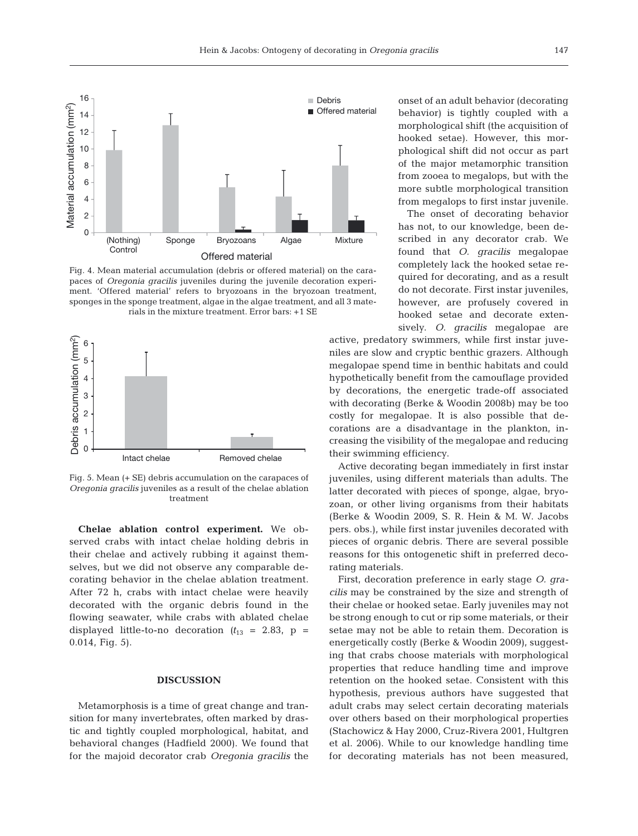

Fig. 4. Mean material accumulation (debris or offered material) on the carapaces of *Oregonia gracilis* juveniles during the juvenile decoration experiment. 'Offered material' refers to bryozoans in the bryozoan treatment, sponges in the sponge treatment, algae in the algae treatment, and all 3 materials in the mixture treatment. Error bars: +1 SE



Fig. 5. Mean (+ SE) debris accumulation on the carapaces of *Oregonia gracilis* juveniles as a result of the chelae ablation treatment

Chelae ablation control experiment. We observed crabs with intact chelae holding debris in their chelae and actively rubbing it against themselves, but we did not observe any comparable de corating behavior in the chelae ablation treatment. After 72 h, crabs with intact chelae were heavily decorated with the organic debris found in the flowing seawater, while crabs with ablated chelae displayed little-to-no decoration  $(t_{13} = 2.83, p =$ 0.014, Fig. 5).

#### **DISCUSSION**

Metamorphosis is a time of great change and transition for many invertebrates, often marked by drastic and tightly coupled morphological, habitat, and behavioral changes (Hadfield 2000). We found that for the majoid decorator crab *Oregonia gracilis* the onset of an adult behavior (decorating behavior) is tightly coupled with a morphological shift (the acquisition of hooked setae). However, this morphological shift did not occur as part of the major metamorphic transition from zooea to megalops, but with the more subtle morphological transition from megalops to first instar juvenile.

The onset of decorating behavior has not, to our knowledge, been described in any decorator crab. We found that *O. gracilis* megalopae completely lack the hooked setae required for decorating, and as a result do not decorate. First instar juveniles, however, are profusely covered in hooked setae and decorate extensively. *O. gracilis* megalopae are

active, predatory swimmers, while first instar juveniles are slow and cryptic benthic grazers. Although megalopae spend time in benthic habitats and could hypothetically benefit from the camouflage provided by decorations, the energetic trade-off associated with decorating (Berke & Woodin 2008b) may be too costly for megalopae. It is also possible that decorations are a disadvantage in the plankton, increasing the visibility of the megalopae and reducing their swimming efficiency.

Active decorating began immediately in first instar juveniles, using different materials than adults. The latter decorated with pieces of sponge, algae, bryozoan, or other living organisms from their habitats (Berke & Woodin 2009, S. R. Hein & M. W. Jacobs pers. obs.), while first instar juveniles decorated with pieces of organic debris. There are several possible reasons for this ontogenetic shift in preferred decorating materials.

First, decoration preference in early stage *O. gracilis* may be constrained by the size and strength of their chelae or hooked setae. Early juveniles may not be strong enough to cut or rip some materials, or their setae may not be able to retain them. Decoration is energetically costly (Berke & Woodin 2009), suggesting that crabs choose materials with morphological properties that reduce handling time and improve retention on the hooked setae. Consistent with this hypothesis, previous authors have suggested that adult crabs may select certain decorating materials over others based on their morphological properties (Stachowicz & Hay 2000, Cruz-Rivera 2001, Hultgren et al. 2006). While to our knowledge handling time for decorating materials has not been measured,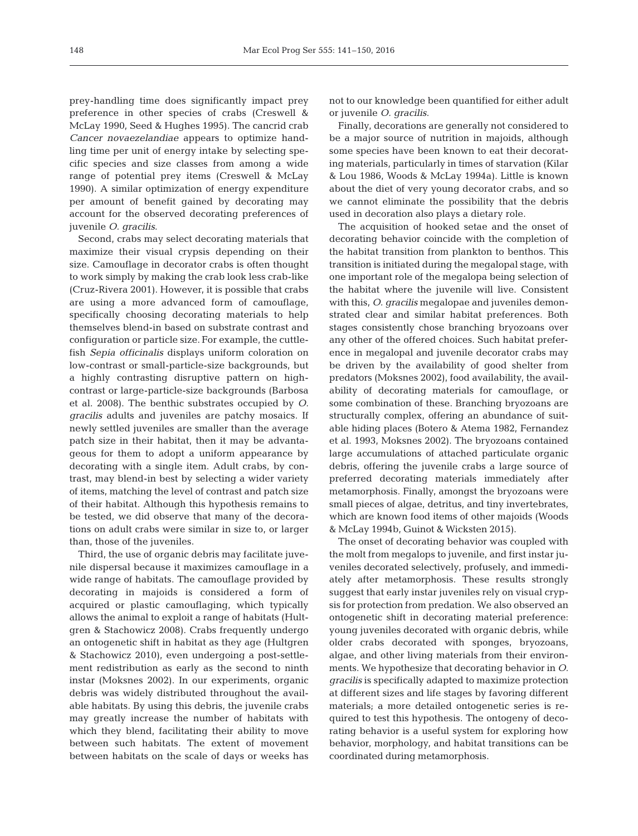prey- handling time does significantly impact prey preference in other species of crabs (Creswell & McLay 1990, Seed & Hughes 1995). The cancrid crab *Cancer novaezelandiae* appears to optimize handling time per unit of energy intake by selecting specific species and size classes from among a wide range of potential prey items (Creswell & McLay 1990). A similar optimization of energy expenditure per amount of benefit gained by decorating may account for the observed decorating preferences of juvenile *O. gracilis*.

Second, crabs may select decorating materials that maximize their visual crypsis depending on their size. Camouflage in decorator crabs is often thought to work simply by making the crab look less crab-like (Cruz-Rivera 2001). However, it is possible that crabs are using a more advanced form of camouflage, specifically choosing decorating materials to help themselves blend-in based on substrate contrast and configuration or particle size. For example, the cuttle fish *Sepia officinalis* displays uniform coloration on low-contrast or small-particle-size backgrounds, but a highly contrasting disruptive pattern on highcontrast or large-particle-size backgrounds (Barbosa et al. 2008). The benthic substrates occupied by *O. gracilis* adults and juveniles are patchy mosaics. If newly settled juveniles are smaller than the average patch size in their habitat, then it may be advantageous for them to adopt a uniform appearance by decorating with a single item. Adult crabs, by contrast, may blend-in best by selecting a wider variety of items, matching the level of contrast and patch size of their habitat. Although this hypothesis remains to be tested, we did observe that many of the decorations on adult crabs were similar in size to, or larger than, those of the juveniles.

Third, the use of organic debris may facilitate juvenile dispersal because it maximizes camouflage in a wide range of habitats. The camouflage provided by decorating in majoids is considered a form of acquired or plastic camouflaging, which typically allows the animal to exploit a range of habitats (Hultgren & Stachowicz 2008). Crabs frequently undergo an ontogenetic shift in habitat as they age (Hultgren & Stachowicz 2010), even undergoing a post-settlement redistribution as early as the second to ninth instar (Moksnes 2002). In our experiments, organic debris was widely distributed throughout the available habitats. By using this debris, the juvenile crabs may greatly increase the number of habitats with which they blend, facilitating their ability to move between such habitats. The extent of movement between habitats on the scale of days or weeks has

not to our knowledge been quantified for either adult or juvenile *O. gracilis*.

Finally, decorations are generally not considered to be a major source of nutrition in majoids, although some species have been known to eat their decorating materials, particularly in times of starvation (Kilar & Lou 1986, Woods & McLay 1994a). Little is known about the diet of very young decorator crabs, and so we cannot eliminate the possibility that the debris used in decoration also plays a dietary role.

The acquisition of hooked setae and the onset of decorating behavior coincide with the completion of the habitat transition from plankton to benthos. This transition is initiated during the megalopal stage, with one important role of the megalopa being selection of the habitat where the juvenile will live. Consistent with this, *O. gracilis* megalopae and juveniles demonstrated clear and similar habitat preferences. Both stages consistently chose branching bryozoans over any other of the offered choices. Such habitat preference in megalopal and juvenile decorator crabs may be driven by the availability of good shelter from predators (Moksnes 2002), food availability, the availability of decorating materials for camouflage, or some combination of these. Branching bryozoans are structurally complex, offering an abundance of suitable hiding places (Botero & Atema 1982, Fernandez et al. 1993, Moksnes 2002). The bryozoans contained large accumulations of attached particulate organic debris, offering the juvenile crabs a large source of preferred decorating materials immediately after metamorphosis. Finally, amongst the bryozoans were small pieces of algae, detritus, and tiny invertebrates, which are known food items of other majoids (Woods & McLay 1994b, Guinot & Wicksten 2015).

The onset of decorating behavior was coupled with the molt from megalops to juvenile, and first instar juveniles decorated selectively, profusely, and immediately after metamorphosis. These results strongly suggest that early instar juveniles rely on visual crypsis for protection from predation. We also observed an ontogenetic shift in decorating material preference: young juveniles decorated with organic debris, while older crabs decorated with sponges, bryozoans, algae, and other living materials from their environments. We hypothesize that decorating behavior in  $O$ . *gracilis* is specifically adapted to maximize protection at different sizes and life stages by favoring different materials; a more detailed ontogenetic series is required to test this hypothesis. The ontogeny of decorating behavior is a useful system for exploring how behavior, morphology, and habitat transitions can be coordinated during metamorphosis.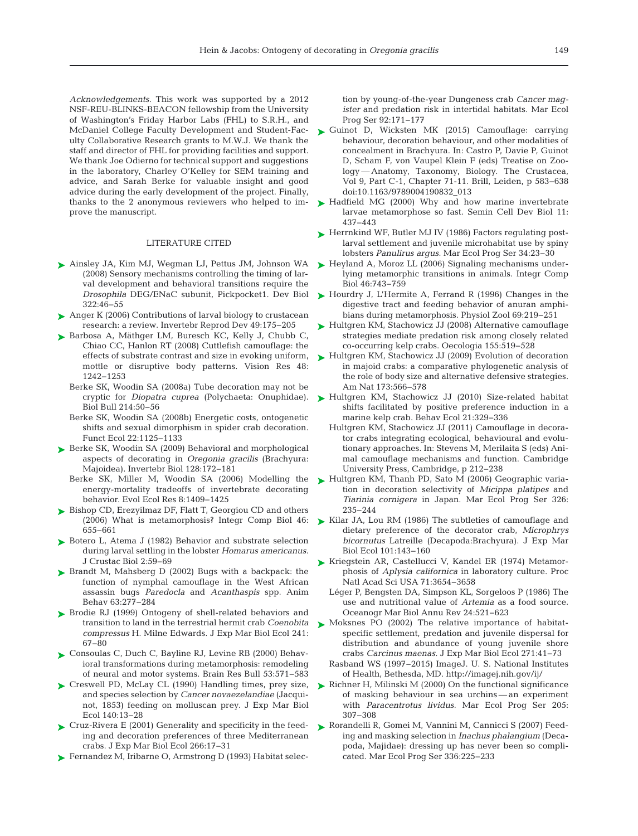*Acknowledgements*. This work was supported by a 2012 NSF-REU-BLINKS-BEACON fellowship from the University of Washington's Friday Harbor Labs (FHL) to S.R.H., and McDaniel College Faculty Development and Student-Faculty Collaborative Research grants to M.W.J. We thank the staff and director of FHL for providing facilities and support. We thank Joe Odierno for technical support and suggestions in the laboratory, Charley O'Kelley for SEM training and advice, and Sarah Berke for valuable insight and good advice during the early development of the project. Finally, thanks to the 2 anonymous reviewers who helped to im prove the manuscript.

#### LITERATURE CITED

- [Ainsley JA, Kim MJ, Wegman LJ, Pettus JM, Johnson WA](http://dx.doi.org/10.1016/j.ydbio.2008.07.003) ➤ (2008) Sensory mechanisms controlling the timing of larval development and behavioral transitions require the *Drosophila* DEG/ENaC subunit, Pickpocket1. Dev Biol 322: 46−55
- ► [Anger K \(2006\) Contributions of larval biology to crustacean](http://dx.doi.org/10.1080/07924259.2006.9652207) research:a review. Invertebr Reprod Dev 49: 175−205
- ▶ [Barbosa A, Mäthger LM, Buresch KC, Kelly J, Chubb C,](http://dx.doi.org/10.2307/25066659) Chiao CC, Hanlon RT (2008) Cuttlefish camouflage: the effects of substrate contrast and size in evoking uniform, mottle or disruptive body patterns. Vision Res 48: 1242−1253
	- Berke SK, Woodin SA (2008a) Tube decoration may not be cryptic for *Diopatra cuprea* (Polychaeta: Onuphidae). Biol Bull 214:50-56
	- Berke SK, Woodin SA (2008b) Energetic costs, ontogenetic shifts and sexual dimorphism in spider crab decoration. Funct Ecol 22: 1125−1133
- ▶ [Berke SK, Woodin SA \(2009\) Behavioral and morphological](http://dx.doi.org/10.1111/j.1744-7410.2009.00167.x) aspects of decorating in *Oregonia gracilis* (Brachyura: Majoidea). Invertebr Biol 128: 172−181
	- Berke SK, Miller M, Woodin SA (2006) Modelling the energy-mortality tradeoffs of invertebrate decorating behavior. Evol Ecol Res 8: 1409−1425
- ► [Bishop CD, Erezyilmaz DF, Flatt T, Georgiou CD and others](http://dx.doi.org/10.1093/icb/icl004) (2006) What is metamorphosis? Integr Comp Biol 46: 655−661
- ▶ [Botero L, Atema J \(1982\) Behavior and substrate selection](http://dx.doi.org/10.2307/1548113) during larval settling in the lobster *Homarus americanus.* J Crustac Biol 2: 59−69
- $\blacktriangleright$  Brandt M, Mahsberg D (2002) Bugs with a backpack: the function of nymphal camouflage in the West African assassin bugs *Paredocla* and *Acanthaspis* spp. Anim Behav 63: 277−284
- ▶ [Brodie RJ \(1999\) Ontogeny of shell-related behaviors and](http://dx.doi.org/10.1016/S0022-0981(99)00068-4) transition to land in the terrestrial hermit crab *Coenobita compressus* H. Milne Edwards. J Exp Mar Biol Ecol 241: 67−80
- ► [Consoulas C, Duch C, Bayline RJ, Levine RB \(2000\) Behav](http://dx.doi.org/10.1016/S0361-9230(00)00391-9)ioral transformations during metamorphosis: remodeling of neural and motor systems. Brain Res Bull 53:571–583
- ► [Creswell PD, McLay CL \(1990\) Handling times, prey size,](http://dx.doi.org/10.1016/0022-0981(90)90077-P) and species selection by *Cancer novaezelandiae* (Jacqui not, 1853) feeding on molluscan prey. J Exp Mar Biol Ecol 140: 13−28
- ► [Cruz-Rivera E \(2001\) Generality and specificity in the feed](http://dx.doi.org/10.1016/S0022-0981(01)00334-3)ing and decoration preferences of three Mediterranean crabs. J Exp Mar Biol Ecol 266: 17−31
- ► [Fernandez M, Iribarne O, Armstrong D \(1993\) Habitat selec-](http://dx.doi.org/10.3354/meps092171)

tion by young-of-the-year Dungeness crab *Cancer magister* and predation risk in intertidal habitats. Mar Ecol Prog Ser 92: 171−177

- ► Guinot D, Wicksten MK (2015) Camouflage: carrying behaviour, decoration behaviour, and other modalities of concealment in Brachyura. In:Castro P, Davie P, Guinot D, Scham F, von Vaupel Klein F (eds) Treatise on Zoology — Anatomy, Taxonomy, Biology. The Crustacea, Vol 9, Part C-1, Chapter 71-11. Brill, Leiden, p 583−638 doi: 10.1163/9789004190832\_013
- ▶ [Hadfield MG \(2000\) Why and how marine invertebrate](http://dx.doi.org/10.1139/z60-058) larvae metamorphose so fast. Semin Cell Dev Biol 11: 437−443
- ► [Herrnkind WF, Butler MJ IV \(1986\) Factors regulating post](http://dx.doi.org/10.3354/meps034023)larval settlement and juvenile microhabitat use by spiny lobsters *Panulirus argus.* Mar Ecol Prog Ser 34:23-30
- ► [Heyland A, Moroz LL \(2006\) Signaling mechanisms under](http://dx.doi.org/10.1093/icb/icl023)lying metamorphic transitions in animals. Integr Comp Biol 46:743-759
- ► [Hourdry J, L'Hermite A, Ferrand R \(1996\) Changes in the](http://dx.doi.org/10.1086/physzool.69.2.30164181) digestive tract and feeding behavior of anuran amphibians during metamorphosis. Physiol Zool 69:219-251
- ► [Hultgren KM, Stachowicz JJ \(2008\) Alternative camouflage](http://dx.doi.org/10.1007/s00442-007-0926-5) strategies mediate predation risk among closely related co-occurring kelp crabs. Oecologia 155: 519−528
- ► [Hultgren KM, Stachowicz JJ \(2009\) Evolution of decoration](http://dx.doi.org/10.1086/597797) in majoid crabs: a comparative phylogenetic analysis of the role of body size and alternative defensive strategies. Am Nat 173:566-578
- ▶ [Hultgren KM, Stachowicz JJ \(2010\) Size-related habitat](http://dx.doi.org/10.1093/beheco/arp192) shifts facilitated by positive preference induction in a marine kelp crab. Behav Ecol 21: 329−336
	- Hultgren KM, Stachowicz JJ (2011) Camouflage in decorator crabs integrating ecological, behavioural and evolutionary approaches. In: Stevens M, Merilaita S (eds) Animal camouflage mechanisms and function. Cambridge University Press, Cambridge, p 212−238
- [Hultgren KM, Thanh PD, Sato M \(2006\) Geographic varia](http://dx.doi.org/10.3354/meps326235)tion in decoration selectivity of *Micippa platipes* and *Tiarinia cornigera* in Japan. Mar Ecol Prog Ser 326: 235−244 ➤
- ► [Kilar JA, Lou RM \(1986\) The subtleties of camouflage and](http://dx.doi.org/10.1016/0022-0981(86)90046-8) dietary preference of the decorator crab, *Microphrys bicornutus* Latreille (Decapoda: Brachyura). J Exp Mar Biol Ecol 101:143-160
- ► [Kriegstein AR, Castellucci V, Kandel ER \(1974\) Metamor](http://dx.doi.org/10.1073/pnas.71.9.3654)phosis of *Aplysia californica* in laboratory culture. Proc Natl Acad Sci USA 71:3654-3658
	- Léger P, Bengsten DA, Simpson KL, Sorgeloos P (1986) The use and nutritional value of *Artemia* as a food source. Oceanogr Mar Biol Annu Rev 24: 521−623
- ▶ [Moksnes PO \(2002\) The relative importance of habitat](http://dx.doi.org/10.1016/S0022-0981(02)00041-2)specific settlement, predation and juvenile dispersal for distribution and abundance of young juvenile shore crabs *Carcinus maenas.* J Exp Mar Biol Ecol 271: 41−73
	- Rasband WS (1997–2015) ImageJ. U. S. National Institutes of Health, Bethesda, MD. http: //imagej.nih.gov/ij/
- ▶ [Richner H, Milinski M \(2000\) On the functional significance](http://dx.doi.org/10.3354/meps205307) of masking behaviour in sea urchins — an experiment with *Paracentrotus lividus.* Mar Ecol Prog Ser 205: 307−308
- [Rorandelli R, Gomei M, Vannini M, Cannicci S \(2007\) Feed-](http://dx.doi.org/10.3354/meps336225)➤ ing and masking selection in *Inachus phalangium* (Deca poda, Majidae): dressing up has never been so complicated. Mar Ecol Prog Ser 336: 225−233